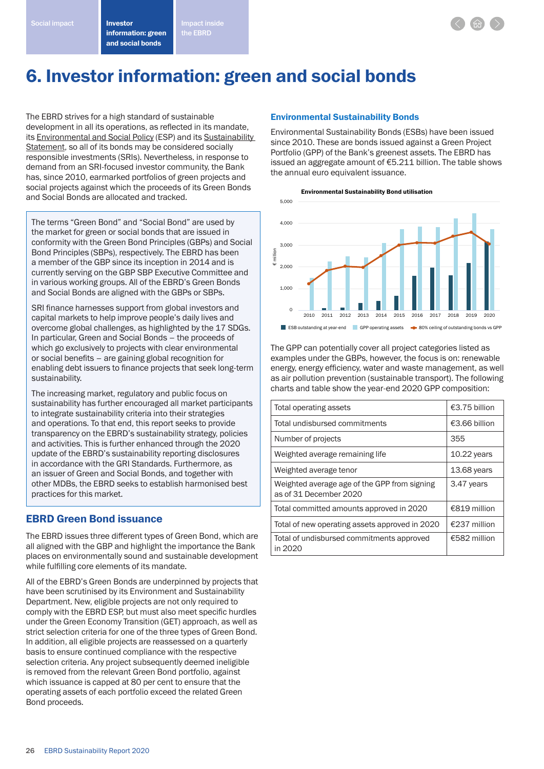and social bonds



# 6. Investor information: green and social bonds

the EBRD

The EBRD strives for a high standard of sustainable development in all its operations, as reflected in its mandate, its Environmental and Social Policy (ESP) and its Sustainability Statement, so all of its bonds may be considered socially responsible investments (SRIs). Nevertheless, in response to demand from an SRI-focused investor community, the Bank has, since 2010, earmarked portfolios of green projects and social projects against which the proceeds of its Green Bonds and Social Bonds are allocated and tracked.

The terms "Green Bond" and "Social Bond" are used by the market for green or social bonds that are issued in conformity with the Green Bond Principles (GBPs) and Social Bond Principles (SBPs), respectively. The EBRD has been a member of the GBP since its inception in 2014 and is currently serving on the GBP SBP Executive Committee and in various working groups. All of the EBRD's Green Bonds and Social Bonds are aligned with the GBPs or SBPs.

SRI finance harnesses support from global investors and capital markets to help improve people's daily lives and overcome global challenges, as highlighted by the 17 SDGs. In particular, Green and Social Bonds – the proceeds of which go exclusively to projects with clear environmental or social benefits – are gaining global recognition for enabling debt issuers to finance projects that seek long-term sustainability.

The increasing market, regulatory and public focus on sustainability has further encouraged all market participants to integrate sustainability criteria into their strategies and operations. To that end, this report seeks to provide transparency on the EBRD's sustainability strategy, policies and activities. This is further enhanced through the 2020 update of the EBRD's sustainability reporting disclosures in accordance with the GRI Standards. Furthermore, as an issuer of Green and Social Bonds, and together with other MDBs, the EBRD seeks to establish harmonised best practices for this market.

# EBRD Green Bond issuance

The EBRD issues three different types of Green Bond, which are all aligned with the GBP and highlight the importance the Bank places on environmentally sound and sustainable development while fulfilling core elements of its mandate.

All of the EBRD's Green Bonds are underpinned by projects that have been scrutinised by its Environment and Sustainability Department. New, eligible projects are not only required to comply with the EBRD ESP, but must also meet specific hurdles under the Green Economy Transition (GET) approach, as well as strict selection criteria for one of the three types of Green Bond. In addition, all eligible projects are reassessed on a quarterly basis to ensure continued compliance with the respective selection criteria. Any project subsequently deemed ineligible is removed from the relevant Green Bond portfolio, against which issuance is capped at 80 per cent to ensure that the operating assets of each portfolio exceed the related Green Bond proceeds.

## Environmental Sustainability Bonds

Environmental Sustainability Bonds (ESBs) have been issued since 2010. These are bonds issued against a Green Project Portfolio (GPP) of the Bank's greenest assets. The EBRD has issued an aggregate amount of €5.211 billion. The table shows the annual euro equivalent issuance.





The GPP can potentially cover all project categories listed as examples under the GBPs, however, the focus is on: renewable energy, energy efficiency, water and waste management, as well as air pollution prevention (sustainable transport). The following charts and table show the year-end 2020 GPP composition:

| Total operating assets                                                 | €3.75 billion |
|------------------------------------------------------------------------|---------------|
| Total undisbursed commitments                                          | €3.66 billion |
| Number of projects                                                     | 355           |
| Weighted average remaining life                                        | $10.22$ years |
| Weighted average tenor                                                 | 13.68 years   |
| Weighted average age of the GPP from signing<br>as of 31 December 2020 | 3.47 years    |
| Total committed amounts approved in 2020                               | €819 million  |
| Total of new operating assets approved in 2020                         | €237 million  |
| Total of undisbursed commitments approved<br>in 2020                   | €582 million  |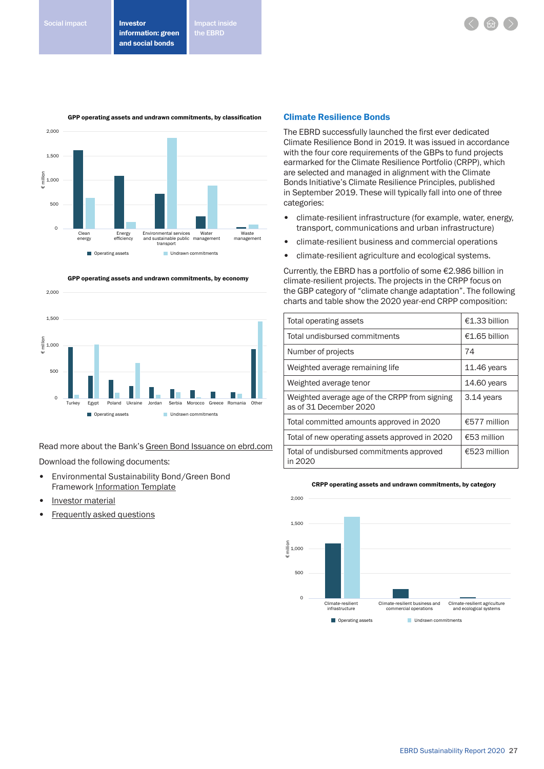the EBRD



GPP operating assets and undrawn commitments, by economy



Read more about the Bank's Green Bond Issuance on ebrd.com

Download the following documents:

- Environmental Sustainability Bond/Green Bond Framework Information Template
- Investor material
- **Frequently asked questions**

#### Climate Resilience Bonds

The EBRD successfully launched the first ever dedicated Climate Resilience Bond in 2019. It was issued in accordance with the four core requirements of the GBPs to fund projects earmarked for the Climate Resilience Portfolio (CRPP), which are selected and managed in alignment with the Climate Bonds Initiative's Climate Resilience Principles, published in September 2019. These will typically fall into one of three categories:

- climate-resilient infrastructure (for example, water, energy, transport, communications and urban infrastructure)
- climate-resilient business and commercial operations
- climate-resilient agriculture and ecological systems.

Currently, the EBRD has a portfolio of some €2.986 billion in climate-resilient projects. The projects in the CRPP focus on the GBP category of "climate change adaptation". The following charts and table show the 2020 year-end CRPP composition:

| Total operating assets                                                  | €1.33 billion |
|-------------------------------------------------------------------------|---------------|
| Total undisbursed commitments                                           | €1.65 billion |
| Number of projects                                                      | 74            |
| Weighted average remaining life                                         | 11.46 years   |
| Weighted average tenor                                                  | 14.60 years   |
| Weighted average age of the CRPP from signing<br>as of 31 December 2020 | 3.14 years    |
| Total committed amounts approved in 2020                                | €577 million  |
| Total of new operating assets approved in 2020                          | €53 million   |
| Total of undisbursed commitments approved<br>in 2020                    | €523 million  |



CRPP operating assets and undrawn commitments, by category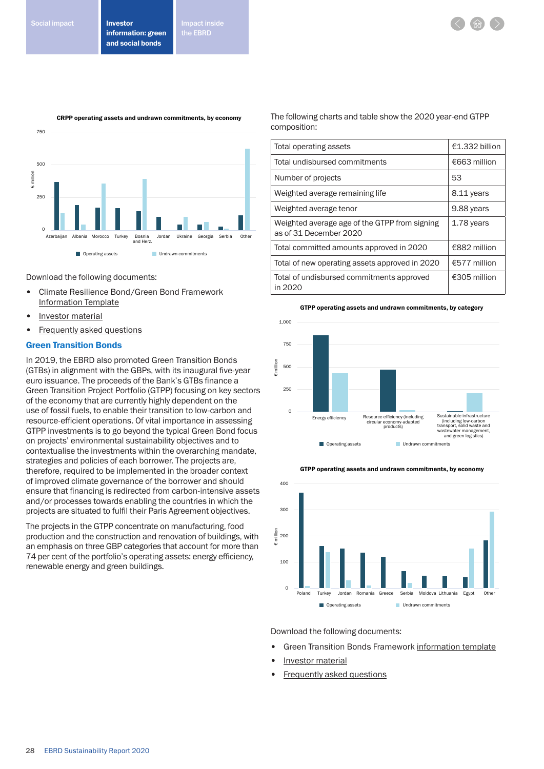



Download the following documents:

- Climate Resilience Bond/Green Bond Framework Information Template
- Investor material
- Frequently asked questions

## Green Transition Bonds

<sup>28</sup><br>
<sup>280</sup><br>
<sup>280</sup><br>
<sup>280</sup><br>
<sup>280</sup><br> **280**<br> **280**<br> **280**<br> **280**<br> **280**<br> **280**<br> **280**<br> **280**<br> **280**<br> **280**<br> **280**<br> **280**<br> **280**<br> **280**<br> **280**<br> **280**<br> **280**<br> **280**<br> **280**<br> **280**<br> **280**<br> **280**<br> **280**<br> **280**<br> **280**<br> **280**<br> **280**<br> In 2019, the EBRD also promoted Green Transition Bonds (GTBs) in alignment with the GBPs, with its inaugural five-year euro issuance. The proceeds of the Bank's GTBs finance a Green Transition Project Portfolio (GTPP) focusing on key sectors of the economy that are currently highly dependent on the use of fossil fuels, to enable their transition to low-carbon and resource-efficient operations. Of vital importance in assessing GTPP investments is to go beyond the typical Green Bond focus on projects' environmental sustainability objectives and to contextualise the investments within the overarching mandate, strategies and policies of each borrower. The projects are, therefore, required to be implemented in the broader context of improved climate governance of the borrower and should ensure that financing is redirected from carbon-intensive assets and/or processes towards enabling the countries in which the projects are situated to fulfil their Paris Agreement objectives.

The projects in the GTPP concentrate on manufacturing, food production and the construction and renovation of buildings, with an emphasis on three GBP categories that account for more than 74 per cent of the portfolio's operating assets: energy efficiency, renewable energy and green buildings.

The following charts and table show the 2020 year-end GTPP composition:

| Total operating assets                                                  | €1.332 billion |
|-------------------------------------------------------------------------|----------------|
| Total undisbursed commitments                                           | €663 million   |
| Number of projects                                                      | 53             |
| Weighted average remaining life                                         | 8.11 years     |
| Weighted average tenor                                                  | 9.88 years     |
| Weighted average age of the GTPP from signing<br>as of 31 December 2020 | 1.78 years     |
| Total committed amounts approved in 2020                                | €882 million   |
| Total of new operating assets approved in 2020                          | €577 million   |
| Total of undisbursed commitments approved<br>in 2020                    | €305 million   |

#### GTPP operating assets and undrawn commitments, by category





GTPP operating assets and undrawn commitments, by economy

Download the following documents:

- Green Transition Bonds Framework information template
- Investor material
- Frequently asked questions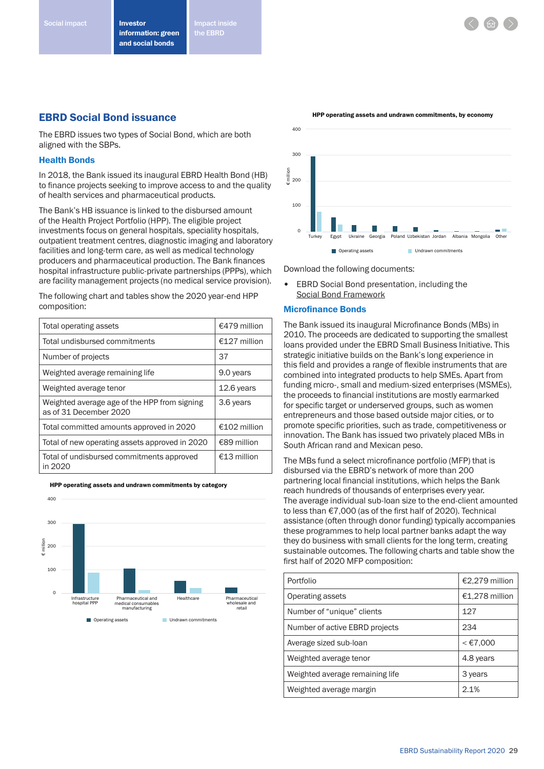the EBRD

# EBRD Social Bond issuance

The EBRD issues two types of Social Bond, which are both aligned with the SBPs.

## Health Bonds

In 2018, the Bank issued its inaugural EBRD Health Bond (HB) to finance projects seeking to improve access to and the quality of health services and pharmaceutical products.

The Bank's HB issuance is linked to the disbursed amount of the Health Project Portfolio (HPP). The eligible project investments focus on general hospitals, speciality hospitals, outpatient treatment centres, diagnostic imaging and laboratory facilities and long-term care, as well as medical technology producers and pharmaceutical production. The Bank finances hospital infrastructure public-private partnerships (PPPs), which are facility management projects (no medical service provision).

The following chart and tables show the 2020 year-end HPP composition:

| Total operating assets                                                 | €479 million   |
|------------------------------------------------------------------------|----------------|
| Total undisbursed commitments                                          | €127 million   |
| Number of projects                                                     | 37             |
| Weighted average remaining life                                        | 9.0 years      |
| Weighted average tenor                                                 | 12.6 years     |
| Weighted average age of the HPP from signing<br>as of 31 December 2020 | 3.6 years      |
| Total committed amounts approved in 2020                               | $£102$ million |
| Total of new operating assets approved in 2020                         | €89 million    |
| Total of undisbursed commitments approved<br>in 2020                   | €13 million    |

HPP operating assets and undrawn commitments by category





Download the following documents:

EBRD Social Bond presentation, including the Social Bond Framework

### Microfinance Bonds

The Bank issued its inaugural Microfinance Bonds (MBs) in 2010. The proceeds are dedicated to supporting the smallest loans provided under the EBRD Small Business Initiative. This strategic initiative builds on the Bank's long experience in this field and provides a range of flexible instruments that are combined into integrated products to help SMEs. Apart from funding micro-, small and medium-sized enterprises (MSMEs), the proceeds to financial institutions are mostly earmarked for specific target or underserved groups, such as women entrepreneurs and those based outside major cities, or to promote specific priorities, such as trade, competitiveness or innovation. The Bank has issued two privately placed MBs in South African rand and Mexican peso.

The MBs fund a select microfinance portfolio (MFP) that is disbursed via the EBRD's network of more than 200 partnering local financial institutions, which helps the Bank reach hundreds of thousands of enterprises every year. The average individual sub-loan size to the end-client amounted to less than €7,000 (as of the first half of 2020). Technical assistance (often through donor funding) typically accompanies these programmes to help local partner banks adapt the way they do business with small clients for the long term, creating sustainable outcomes. The following charts and table show the first half of 2020 MFP composition:

| Portfolio                       | €2,279 million |
|---------------------------------|----------------|
| Operating assets                | €1,278 million |
| Number of "unique" clients      | 127            |
| Number of active EBRD projects  | 234            |
| Average sized sub-loan          | $<$ €7,000     |
| Weighted average tenor          | 4.8 years      |
| Weighted average remaining life | 3 years        |
| Weighted average margin         | 2.1%           |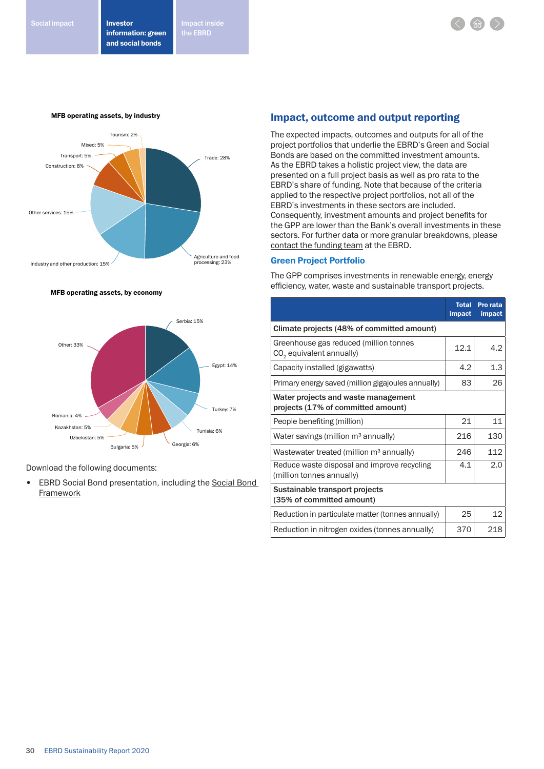Investor information: green and social bonds Social impact **Impact in the Line of American** Impact inside

the EBRD



MFB operating assets, by economy



Download the following documents:

• EBRD Social Bond presentation, including the Social Bond **Framework** 

## Impact, outcome and output reporting

The expected impacts, outcomes and outputs for all of the project portfolios that underlie the EBRD's Green and Social Bonds are based on the committed investment amounts. As the EBRD takes a holistic project view, the data are presented on a full project basis as well as pro rata to the EBRD's share of funding. Note that because of the criteria applied to the respective project portfolios, not all of the EBRD's investments in these sectors are included. Consequently, investment amounts and project benefits for the GPP are lower than the Bank's overall investments in these sectors. For further data or more granular breakdowns, please contact the funding team at the EBRD.

## Green Project Portfolio

The GPP comprises investments in renewable energy, energy efficiency, water, waste and sustainable transport projects.

|                                                                                | <b>Total</b><br><b>impact</b> | Pro rata<br><b>impact</b> |
|--------------------------------------------------------------------------------|-------------------------------|---------------------------|
| Climate projects (48% of committed amount)                                     |                               |                           |
| Greenhouse gas reduced (million tonnes<br>CO <sub>2</sub> equivalent annually) | 12.1                          | 4.2                       |
| Capacity installed (gigawatts)                                                 | 4.2                           | 1.3                       |
| Primary energy saved (million gigajoules annually)                             | 83                            | 26                        |
| Water projects and waste management<br>projects (17% of committed amount)      |                               |                           |
| People benefiting (million)                                                    | 21                            | 11                        |
| Water savings (million $m3$ annually)                                          | 216                           | 130                       |
| Wastewater treated (million m <sup>3</sup> annually)                           | 246                           | 112                       |
| Reduce waste disposal and improve recycling<br>(million tonnes annually)       | 4.1                           | 2.0                       |
| Sustainable transport projects<br>(35% of committed amount)                    |                               |                           |
| Reduction in particulate matter (tonnes annually)                              | 25                            | 12                        |
| Reduction in nitrogen oxides (tonnes annually)                                 | 370                           | 218                       |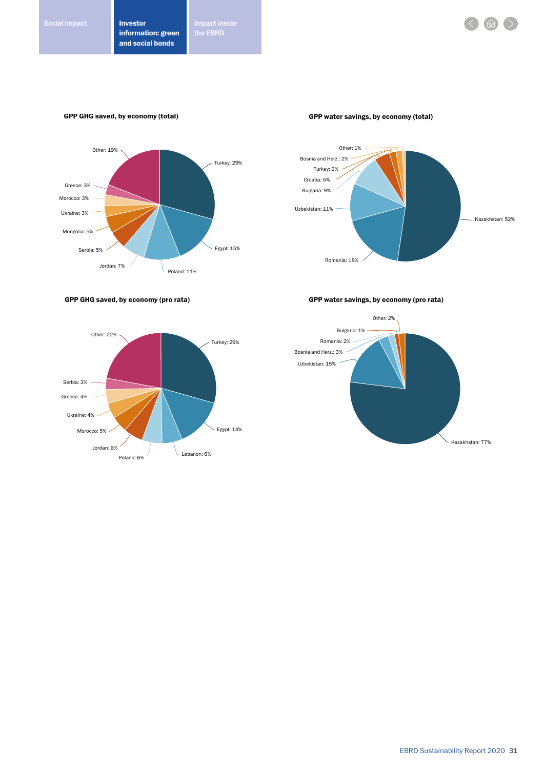## GPP GHG saved, by economy (total)



GPP water savings, by economy (total)



GPP GHG saved, by economy (pro rata)



GPP water savings, by economy (pro rata)

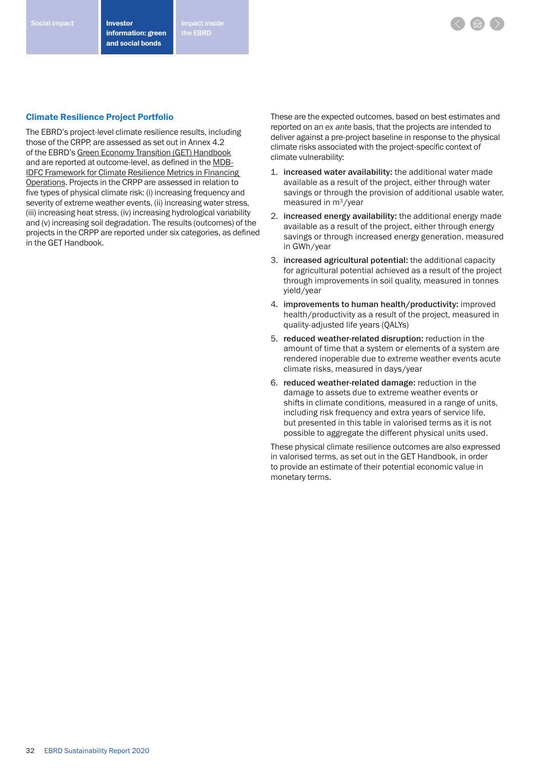Investor information: green and social bonds Social impact **Impact instant in the start instant instant inside** 

the EBRD

#### Climate Resilience Project Portfolio

The EBRD's project-level climate resilience results, including those of the CRPP, are assessed as set out in Annex 4.2 of the EBRD's Green Economy Transition (GET) Handbook and are reported at outcome-level, as defined in the MDB-IDFC Framework for Climate Resilience Metrics in Financing Operations. Projects in the CRPP are assessed in relation to five types of physical climate risk: (i) increasing frequency and severity of extreme weather events, (ii) increasing water stress, (iii) increasing heat stress, (iv) increasing hydrological variability and (v) increasing soil degradation. The results (outcomes) of the projects in the CRPP are reported under six categories, as defined in the GET Handbook.

These are the expected outcomes, based on best estimates and reported on an *ex ante* basis, that the projects are intended to deliver against a pre-project baseline in response to the physical climate risks associated with the project-specific context of climate vulnerability:

- 1. increased water availability: the additional water made available as a result of the project, either through water savings or through the provision of additional usable water, measured in m3/year
- 2. increased energy availability: the additional energy made available as a result of the project, either through energy savings or through increased energy generation, measured in GWh/year
- 3. increased agricultural potential: the additional capacity for agricultural potential achieved as a result of the project through improvements in soil quality, measured in tonnes yield/year
- 4. improvements to human health/productivity: improved health/productivity as a result of the project, measured in quality-adjusted life years (QALYs)
- 5. reduced weather-related disruption: reduction in the amount of time that a system or elements of a system are rendered inoperable due to extreme weather events acute climate risks, measured in days/year
- 6. reduced weather-related damage: reduction in the damage to assets due to extreme weather events or shifts in climate conditions, measured in a range of units, including risk frequency and extra years of service life, but presented in this table in valorised terms as it is not possible to aggregate the different physical units used.

These physical climate resilience outcomes are also expressed in valorised terms, as set out in the GET Handbook, in order to provide an estimate of their potential economic value in monetary terms.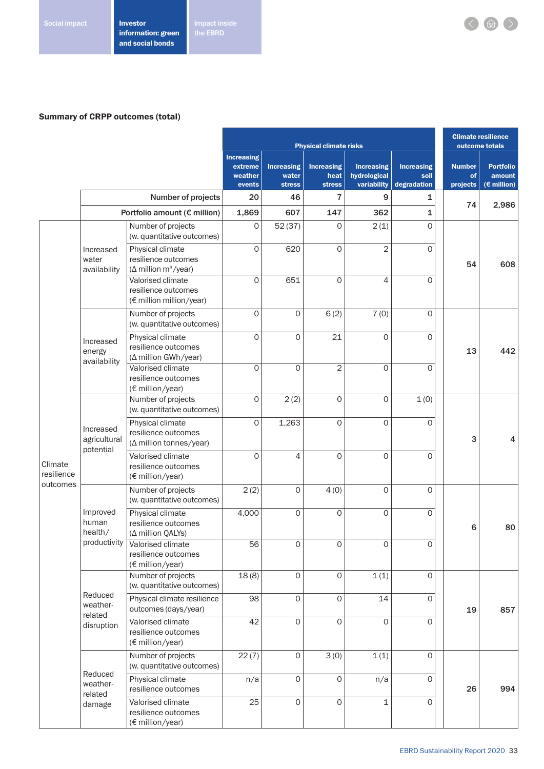# Summary of CRPP outcomes (total)

|                                   |                                              |                                                                                     | <b>Physical climate risks</b>          |                     |                                 |                                   | <b>Climate resilience</b><br>outcome totals |                     |                            |
|-----------------------------------|----------------------------------------------|-------------------------------------------------------------------------------------|----------------------------------------|---------------------|---------------------------------|-----------------------------------|---------------------------------------------|---------------------|----------------------------|
|                                   |                                              |                                                                                     | <b>Increasing</b><br><b>Increasing</b> |                     |                                 |                                   |                                             |                     |                            |
|                                   |                                              |                                                                                     | extreme<br>weather                     | water               | <b>Increasing</b><br>heat       | <b>Increasing</b><br>hydrological | <b>Increasing</b><br>soil                   | <b>Number</b><br>of | <b>Portfolio</b><br>amount |
|                                   |                                              | Number of projects                                                                  | events<br>20                           | <b>stress</b><br>46 | <b>stress</b><br>$\overline{7}$ | variability<br>9                  | degradation<br>1                            | projects            | $(E \text{ million})$      |
|                                   |                                              | Portfolio amount (€ million)                                                        | 1,869                                  | 607                 | 147                             | 362                               | 1                                           | 74                  | 2,986                      |
|                                   |                                              | Number of projects<br>(w. quantitative outcomes)                                    | 0                                      | 52(37)              | 0                               | 2(1)                              | 0                                           |                     |                            |
|                                   | Increased<br>water<br>availability           | Physical climate<br>resilience outcomes<br>( $\Delta$ million m <sup>3</sup> /year) | $\circ$                                | 620                 | $\circ$                         | $\overline{2}$                    | 0                                           | 54                  | 608                        |
|                                   |                                              | Valorised climate<br>resilience outcomes<br>(€ million million/year)                | $\mathbf 0$                            | 651                 | $\mathbf{O}$                    | 4                                 | $\Omega$                                    |                     |                            |
|                                   |                                              | Number of projects<br>(w. quantitative outcomes)                                    | $\mathbf{O}$                           | $\mathsf{O}\xspace$ | 6(2)                            | 7(0)                              | $\mathbf 0$                                 |                     |                            |
|                                   | Increased<br>energy<br>availability          | Physical climate<br>resilience outcomes<br>(A million GWh/year)                     | $\circ$                                | $\circ$             | 21                              | $\mathbf 0$                       | 0                                           | 13                  | 442                        |
|                                   |                                              | Valorised climate<br>resilience outcomes<br>(€ million/year)                        | $\mathbf{O}$                           | $\circ$             | $\mathbf{2}$                    | $\mathbf{O}$                      | $\Omega$                                    |                     |                            |
|                                   | Increased<br>agricultural<br>potential       | Number of projects<br>(w. quantitative outcomes)                                    | $\mathbf{O}$                           | 2(2)                | $\mathbf{O}$                    | 0                                 | 1(0)                                        |                     |                            |
| Climate<br>resilience<br>outcomes |                                              | Physical climate<br>resilience outcomes<br>( $\Delta$ million tonnes/year)          | $\mathbf{O}$                           | 1,263               | $\mathbf 0$                     | $\mathbf{O}$                      | $\mathbf 0$                                 | 3                   | 4                          |
|                                   |                                              | Valorised climate<br>resilience outcomes<br>(€ million/year)                        | $\Omega$                               | $\overline{4}$      | $\mathbf{O}$                    | $\mathbf 0$                       | $\Omega$                                    |                     |                            |
|                                   | Improved<br>human<br>health/<br>productivity | Number of projects<br>(w. quantitative outcomes)                                    | 2(2)                                   | $\mathsf{O}\xspace$ | 4(0)                            | 0                                 | $\Omega$                                    | 6                   |                            |
|                                   |                                              | Physical climate<br>resilience outcomes<br>$(\Delta$ million QALYs)                 | 4,000                                  | $\mathsf{O}\xspace$ | $\Omega$                        | $\mathbf 0$                       | $\mathbf 0$                                 |                     | 80                         |
|                                   |                                              | Valorised climate<br>resilience outcomes<br>(€ million/year)                        | 56                                     | $\mathbf 0$         | $\mathbf{O}$                    | $\mathbf 0$                       | $\mathbf 0$                                 |                     |                            |
|                                   | Reduced<br>weather-<br>related<br>disruption | Number of projects<br>(w. quantitative outcomes)                                    | 18(8)                                  | $\mathsf{O}\xspace$ | $\mathbf 0$                     | 1(1)                              | $\mathsf O$                                 |                     |                            |
|                                   |                                              | Physical climate resilience<br>outcomes (days/year)                                 | 98                                     | $\mathsf{O}\xspace$ | $\mathbf 0$                     | 14                                | $\circ$                                     | 19                  | 857                        |
|                                   |                                              | Valorised climate<br>resilience outcomes<br>(€ million/year)                        | 42                                     | $\mathsf{O}\xspace$ | $\mathbf 0$                     | $\mathbf 0$                       | 0                                           |                     |                            |
|                                   | Reduced<br>weather-<br>related<br>damage     | Number of projects<br>(w. quantitative outcomes)                                    | 22(7)                                  | $\circ$             | 3(0)                            | 1(1)                              | $\mathbf 0$                                 |                     |                            |
|                                   |                                              | Physical climate<br>resilience outcomes                                             | n/a                                    | $\circ$             | $\mathbf 0$                     | n/a                               | $\circ$                                     | 26                  | 994                        |
|                                   |                                              | Valorised climate<br>resilience outcomes<br>(€ million/year)                        | 25                                     | $\mathsf{O}\xspace$ | $\mathbf 0$                     | 1                                 | $\circ$                                     |                     |                            |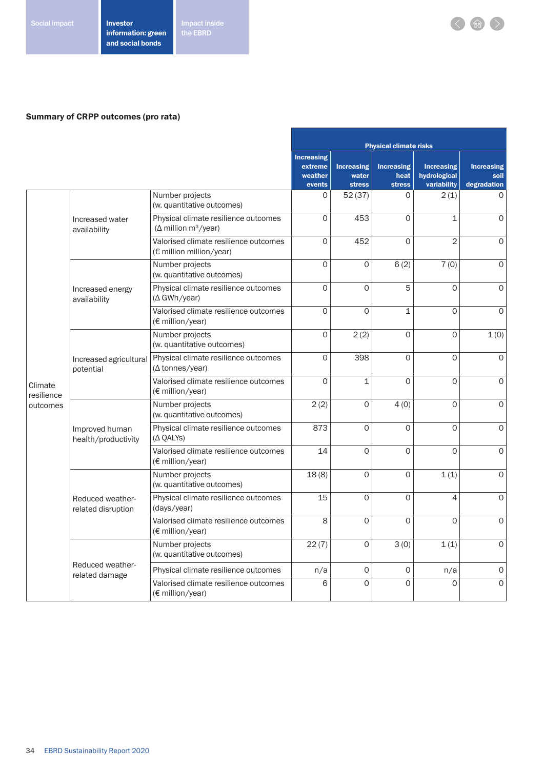Impact inside<br>the EBRD

# Summary of CRPP outcomes (pro rata)

|                                   |                                        |                                                                                  | <b>Physical climate risks</b>                     |                                             |                                            |                                                  |                                          |
|-----------------------------------|----------------------------------------|----------------------------------------------------------------------------------|---------------------------------------------------|---------------------------------------------|--------------------------------------------|--------------------------------------------------|------------------------------------------|
|                                   |                                        |                                                                                  | <b>Increasing</b><br>extreme<br>weather<br>events | <b>Increasing</b><br>water<br><b>stress</b> | <b>Increasing</b><br>heat<br><b>stress</b> | <b>Increasing</b><br>hydrological<br>variability | <b>Increasing</b><br>soil<br>degradation |
|                                   |                                        | Number projects<br>(w. quantitative outcomes)                                    | $\Omega$                                          | 52(37)                                      | $\Omega$                                   | 2(1)                                             | $\Omega$                                 |
|                                   | Increased water<br>availability        | Physical climate resilience outcomes<br>( $\Delta$ million m <sup>3</sup> /year) | $\mathbf 0$                                       | 453                                         | $\overline{O}$                             | $\mathbf 1$                                      | $\circ$                                  |
|                                   |                                        | Valorised climate resilience outcomes<br>(€ million million/year)                | $\Omega$                                          | 452                                         | $\overline{O}$                             | $\overline{2}$                                   | $\Omega$                                 |
|                                   |                                        | Number projects<br>(w. quantitative outcomes)                                    | $\mathbf 0$                                       | $\mathbf 0$                                 | 6(2)                                       | 7(0)                                             | $\mathbf 0$                              |
|                                   | Increased energy<br>availability       | Physical climate resilience outcomes<br>$(\Delta$ GWh/year)                      | $\Omega$                                          | $\Omega$                                    | 5                                          | $\Omega$                                         | $\Omega$                                 |
|                                   |                                        | Valorised climate resilience outcomes<br>(€ million/year)                        | $\mathbf 0$                                       | $\mathbf 0$                                 | $\mathbf 1$                                | $\Omega$                                         | $\circ$                                  |
|                                   | Increased agricultural<br>potential    | Number projects<br>(w. quantitative outcomes)                                    | $\mathsf{O}\xspace$                               | 2(2)                                        | $\overline{O}$                             | 0                                                | 1(0)                                     |
| Climate<br>resilience<br>outcomes |                                        | Physical climate resilience outcomes<br>$(\Delta \text{tonnes/year})$            | $\mathbf 0$                                       | 398                                         | $\overline{O}$                             | 0                                                | $\circ$                                  |
|                                   |                                        | Valorised climate resilience outcomes<br>(€ million/year)                        | $\Omega$                                          | $\mathbf{1}$                                | $\Omega$                                   | $\Omega$                                         | $\Omega$                                 |
|                                   | Improved human<br>health/productivity  | Number projects<br>(w. quantitative outcomes)                                    | 2(2)                                              | $\Omega$                                    | 4(0)                                       | $\Omega$                                         | $\Omega$                                 |
|                                   |                                        | Physical climate resilience outcomes<br>$(\Delta$ QALYs)                         | 873                                               | $\Omega$                                    | $\Omega$                                   | $\Omega$                                         | $\circ$                                  |
|                                   |                                        | Valorised climate resilience outcomes<br>$(\epsilon$ million/year)               | 14                                                | $\Omega$                                    | $\Omega$                                   | $\Omega$                                         | $\mathbf{O}$                             |
|                                   | Reduced weather-<br>related disruption | Number projects<br>(w. quantitative outcomes)                                    | 18(8)                                             | $\mathbf{O}$                                | $\Omega$                                   | 1(1)                                             | $\Omega$                                 |
|                                   |                                        | Physical climate resilience outcomes<br>(days/year)                              | 15                                                | $\Omega$                                    | $\Omega$                                   | 4                                                | $\Omega$                                 |
|                                   |                                        | Valorised climate resilience outcomes<br>(€ million/year)                        | 8                                                 | $\circ$                                     | $\Omega$                                   | $\Omega$                                         | $\circ$                                  |
|                                   |                                        | Number projects<br>(w. quantitative outcomes)                                    | 22(7)                                             | 0                                           | 3(0)                                       | 1(1)                                             | $\mathbf 0$                              |
|                                   | Reduced weather-<br>related damage     | Physical climate resilience outcomes                                             | n/a                                               | $\mathbf 0$                                 | 0                                          | n/a                                              | $\mathsf O$                              |
|                                   |                                        | Valorised climate resilience outcomes<br>(€ million/year)                        | 6                                                 | $\Omega$                                    | $\Omega$                                   | $\Omega$                                         | $\mathsf{O}\xspace$                      |